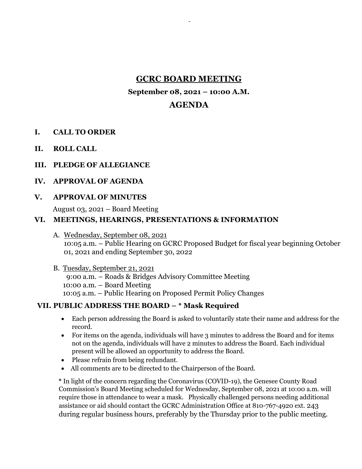# **GCRC BOARD MEETING**

-

## **September 08, 2021 – 10:00 A.M.**

# **AGENDA**

- **I. CALL TO ORDER**
- **II. ROLL CALL**
- **III. PLEDGE OF ALLEGIANCE**
- **IV. APPROVAL OF AGENDA**
- **V. APPROVAL OF MINUTES**

August 03, 2021 – Board Meeting

## **VI. MEETINGS, HEARINGS, PRESENTATIONS & INFORMATION**

A. Wednesday, September 08, 2021 10:05 a.m. – Public Hearing on GCRC Proposed Budget for fiscal year beginning October 01, 2021 and ending September 30, 2022

B. Tuesday, September 21, 2021 9:00 a.m. – Roads & Bridges Advisory Committee Meeting 10:00 a.m. – Board Meeting 10:05 a.m. – Public Hearing on Proposed Permit Policy Changes

## **VII. PUBLIC ADDRESS THE BOARD – \* Mask Required**

- Each person addressing the Board is asked to voluntarily state their name and address for the record.
- For items on the agenda, individuals will have 3 minutes to address the Board and for items not on the agenda, individuals will have 2 minutes to address the Board. Each individual present will be allowed an opportunity to address the Board.
- Please refrain from being redundant.
- All comments are to be directed to the Chairperson of the Board.

**\*** In light of the concern regarding the Coronavirus (COVID-19), the Genesee County Road Commission's Board Meeting scheduled for Wednesday, September 08, 2021 at 10:00 a.m. will require those in attendance to wear a mask. Physically challenged persons needing additional assistance or aid should contact the GCRC Administration Office at 810-767-4920 ext. 243 during regular business hours, preferably by the Thursday prior to the public meeting.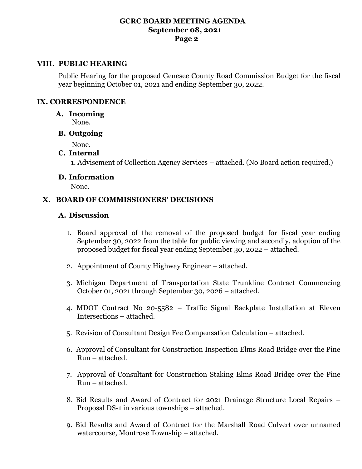#### **GCRC BOARD MEETING AGENDA September 08, 2021 Page 2**

#### **VIII. PUBLIC HEARING**

Public Hearing for the proposed Genesee County Road Commission Budget for the fiscal year beginning October 01, 2021 and ending September 30, 2022.

#### **IX. CORRESPONDENCE**

#### **A. Incoming**

None.

## **B. Outgoing**

None.

## **C. Internal**

1. Advisement of Collection Agency Services – attached. (No Board action required.)

#### **D. Information**

None.

## **X. BOARD OF COMMISSIONERS' DECISIONS**

#### **A. Discussion**

- 1. Board approval of the removal of the proposed budget for fiscal year ending September 30, 2022 from the table for public viewing and secondly, adoption of the proposed budget for fiscal year ending September 30, 2022 – attached.
- 2. Appointment of County Highway Engineer attached.
- 3. Michigan Department of Transportation State Trunkline Contract Commencing October 01, 2021 through September 30, 2026 – attached.
- 4. MDOT Contract No 20-5582 Traffic Signal Backplate Installation at Eleven Intersections – attached.
- 5. Revision of Consultant Design Fee Compensation Calculation attached.
- 6. Approval of Consultant for Construction Inspection Elms Road Bridge over the Pine Run – attached.
- 7. Approval of Consultant for Construction Staking Elms Road Bridge over the Pine Run – attached.
- 8. Bid Results and Award of Contract for 2021 Drainage Structure Local Repairs Proposal DS-1 in various townships – attached.
- 9. Bid Results and Award of Contract for the Marshall Road Culvert over unnamed watercourse, Montrose Township – attached.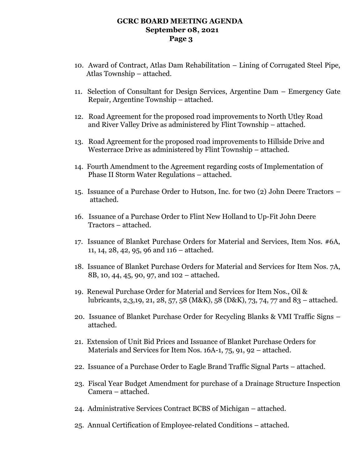#### **GCRC BOARD MEETING AGENDA September 08, 2021 Page 3**

- 10. Award of Contract, Atlas Dam Rehabilitation Lining of Corrugated Steel Pipe, Atlas Township – attached.
- 11. Selection of Consultant for Design Services, Argentine Dam Emergency Gate Repair, Argentine Township – attached.
- 12. Road Agreement for the proposed road improvements to North Utley Road and River Valley Drive as administered by Flint Township – attached.
- 13. Road Agreement for the proposed road improvements to Hillside Drive and Westerrace Drive as administered by Flint Township – attached.
- 14. Fourth Amendment to the Agreement regarding costs of Implementation of Phase II Storm Water Regulations – attached.
- 15. Issuance of a Purchase Order to Hutson, Inc. for two (2) John Deere Tractors attached.
- 16. Issuance of a Purchase Order to Flint New Holland to Up-Fit John Deere Tractors – attached.
- 17. Issuance of Blanket Purchase Orders for Material and Services, Item Nos. #6A, 11, 14, 28, 42, 95, 96 and 116 – attached.
- 18. Issuance of Blanket Purchase Orders for Material and Services for Item Nos. 7A, 8B, 10, 44, 45, 90, 97, and 102 – attached.
- 19. Renewal Purchase Order for Material and Services for Item Nos., Oil & lubricants, 2,3,19, 21, 28, 57, 58 (M&K), 58 (D&K), 73, 74, 77 and 83 – attached.
- 20. Issuance of Blanket Purchase Order for Recycling Blanks & VMI Traffic Signs attached.
- 21. Extension of Unit Bid Prices and Issuance of Blanket Purchase Orders for Materials and Services for Item Nos. 16A-1, 75, 91, 92 – attached.
- 22. Issuance of a Purchase Order to Eagle Brand Traffic Signal Parts attached.
- 23. Fiscal Year Budget Amendment for purchase of a Drainage Structure Inspection Camera – attached.
- 24. Administrative Services Contract BCBS of Michigan attached.
- 25. Annual Certification of Employee-related Conditions attached.